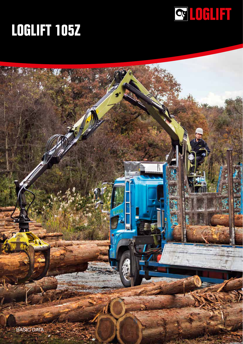

## **LOGLIFT 105Z**

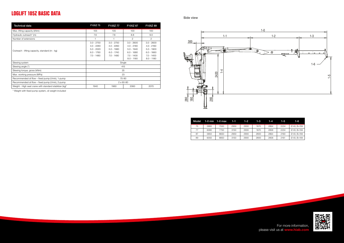

## **LOGLIFT 105Z BASIC DATA**

| Technical data                                          | F105Z75                                                                      | F105Z77                                                                      | F105Z 87                                                                                     | F105Z 89                                                                                     |  |
|---------------------------------------------------------|------------------------------------------------------------------------------|------------------------------------------------------------------------------|----------------------------------------------------------------------------------------------|----------------------------------------------------------------------------------------------|--|
| Max. lifting capacity (kNm)                             | 105                                                                          | 105                                                                          | 100                                                                                          | 100                                                                                          |  |
| Hydraulic outreach* (m)                                 | 7.6                                                                          | 7.8                                                                          | 8.8                                                                                          | 9.0                                                                                          |  |
| Number of extensions                                    |                                                                              |                                                                              | 2                                                                                            | 2                                                                                            |  |
| Outreach - lifting capacity, standard (m - kg)          | $3.0 - 2750$<br>$4.0 - 2280$<br>$5.0 - 2020$<br>$6.0 - 1760$<br>$7.0 - 1480$ | $3.0 - 2750$<br>$4.0 - 2260$<br>$5.0 - 1980$<br>$6.0 - 1740$<br>$7.0 - 1480$ | $3.0 - 2600$<br>$4.0 - 2180$<br>$5.0 - 1940$<br>$6.0 - 1680$<br>$7.0 - 1400$<br>$8.0 - 1180$ | $3.0 - 2600$<br>$4.0 - 2160$<br>$5.0 - 1900$<br>$6.0 - 1660$<br>$7.0 - 1400$<br>$8.0 - 1180$ |  |
| Slewing system                                          | Single                                                                       |                                                                              |                                                                                              |                                                                                              |  |
| Slewing angle (°)                                       |                                                                              | 415                                                                          |                                                                                              |                                                                                              |  |
| Slewing torque, gross (kNm)                             | 25                                                                           |                                                                              |                                                                                              |                                                                                              |  |
| Max. working pressure (MPa)                             | 23                                                                           |                                                                              |                                                                                              |                                                                                              |  |
| Recommended oil flow – fixed pump (I/min), 1-pump       | 70-90                                                                        |                                                                              |                                                                                              |                                                                                              |  |
| Recommended oil flow – fixed pump (I/min), 2-pump       | $2 \times 60 - 80$                                                           |                                                                              |                                                                                              |                                                                                              |  |
| Weight - High seat crane with standard stabilizer (kg)* | 1940                                                                         | 1960                                                                         | 2060                                                                                         | 2070                                                                                         |  |

For more information, please visit us at **www.hiab.c** 



\* Weight with fixed pump system, oil weight included

| Model |      | $1-0$ min $1-0$ max | $1 - 1$ | $1 - 2$ | $1 - 3$ | 1-4  | 1-5. | 1-6.                    |
|-------|------|---------------------|---------|---------|---------|------|------|-------------------------|
| 75    | 5880 | 7550                | 2950    | 2930    | 1670    | 2864 | 2234 | $\varnothing$ 40, B=184 |
| 77    | 6080 | 7750                | 3150    | 2930    | 1670    | 2858 | 2234 | $\varnothing$ 40, B=184 |
| 87    | 5850 | 8650                | 2950    | 2900    | 2800    | 2864 | 2160 | $\varnothing$ 40. B=184 |
| 89    | 6050 | 8850                | 3150    | 2900    | 2800    | 2858 | 2161 | $\varnothing$ 40, B=184 |

Side view